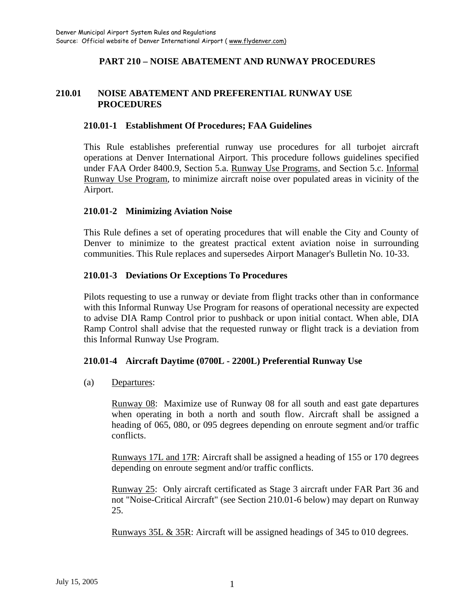## **PART 210 – NOISE ABATEMENT AND RUNWAY PROCEDURES**

## **210.01 NOISE ABATEMENT AND PREFERENTIAL RUNWAY USE PROCEDURES**

### **210.01-1 Establishment Of Procedures; FAA Guidelines**

This Rule establishes preferential runway use procedures for all turbojet aircraft operations at Denver International Airport. This procedure follows guidelines specified under FAA Order 8400.9, Section 5.a. Runway Use Programs, and Section 5.c. Informal Runway Use Program, to minimize aircraft noise over populated areas in vicinity of the Airport.

### **210.01-2 Minimizing Aviation Noise**

This Rule defines a set of operating procedures that will enable the City and County of Denver to minimize to the greatest practical extent aviation noise in surrounding communities. This Rule replaces and supersedes Airport Manager's Bulletin No. 10-33.

#### **210.01-3 Deviations Or Exceptions To Procedures**

Pilots requesting to use a runway or deviate from flight tracks other than in conformance with this Informal Runway Use Program for reasons of operational necessity are expected to advise DIA Ramp Control prior to pushback or upon initial contact. When able, DIA Ramp Control shall advise that the requested runway or flight track is a deviation from this Informal Runway Use Program.

#### **210.01-4 Aircraft Daytime (0700L - 2200L) Preferential Runway Use**

(a) Departures:

Runway 08: Maximize use of Runway 08 for all south and east gate departures when operating in both a north and south flow. Aircraft shall be assigned a heading of 065, 080, or 095 degrees depending on enroute segment and/or traffic conflicts.

Runways 17L and 17R: Aircraft shall be assigned a heading of 155 or 170 degrees depending on enroute segment and/or traffic conflicts.

Runway 25: Only aircraft certificated as Stage 3 aircraft under FAR Part 36 and not "Noise-Critical Aircraft" (see Section 210.01-6 below) may depart on Runway 25.

Runways 35L & 35R: Aircraft will be assigned headings of 345 to 010 degrees.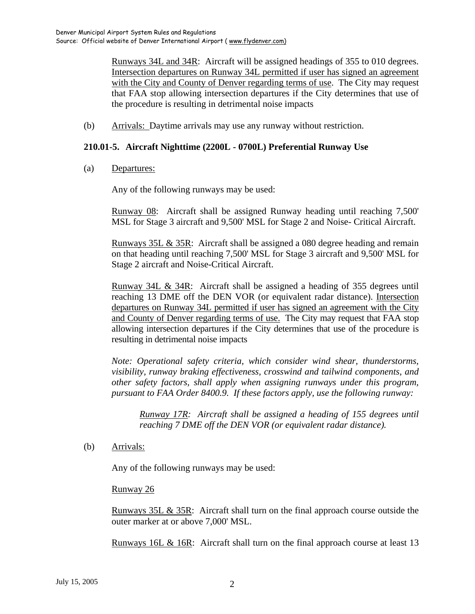Runways 34L and 34R: Aircraft will be assigned headings of 355 to 010 degrees. Intersection departures on Runway 34L permitted if user has signed an agreement with the City and County of Denver regarding terms of use. The City may request that FAA stop allowing intersection departures if the City determines that use of the procedure is resulting in detrimental noise impacts

(b) Arrivals: Daytime arrivals may use any runway without restriction.

#### **210.01-5. Aircraft Nighttime (2200L - 0700L) Preferential Runway Use**

(a) Departures:

Any of the following runways may be used:

Runway 08: Aircraft shall be assigned Runway heading until reaching 7,500' MSL for Stage 3 aircraft and 9,500' MSL for Stage 2 and Noise- Critical Aircraft.

Runways 35L & 35R: Aircraft shall be assigned a 080 degree heading and remain on that heading until reaching 7,500' MSL for Stage 3 aircraft and 9,500' MSL for Stage 2 aircraft and Noise-Critical Aircraft.

Runway 34L & 34R: Aircraft shall be assigned a heading of 355 degrees until reaching 13 DME off the DEN VOR (or equivalent radar distance). Intersection departures on Runway 34L permitted if user has signed an agreement with the City and County of Denver regarding terms of use. The City may request that FAA stop allowing intersection departures if the City determines that use of the procedure is resulting in detrimental noise impacts

*Note: Operational safety criteria, which consider wind shear, thunderstorms, visibility, runway braking effectiveness, crosswind and tailwind components, and other safety factors, shall apply when assigning runways under this program, pursuant to FAA Order 8400.9. If these factors apply, use the following runway:* 

*Runway 17R: Aircraft shall be assigned a heading of 155 degrees until reaching 7 DME off the DEN VOR (or equivalent radar distance).* 

(b) Arrivals:

Any of the following runways may be used:

Runway 26

Runways 35L & 35R: Aircraft shall turn on the final approach course outside the outer marker at or above 7,000' MSL.

Runways 16L & 16R: Aircraft shall turn on the final approach course at least 13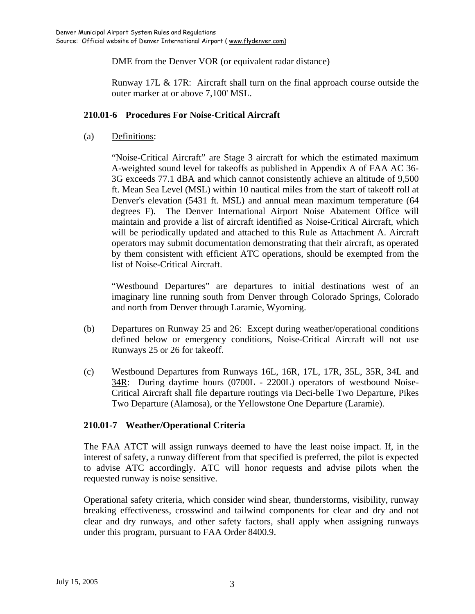DME from the Denver VOR (or equivalent radar distance)

Runway 17L & 17R: Aircraft shall turn on the final approach course outside the outer marker at or above 7,100' MSL.

## **210.01-6 Procedures For Noise-Critical Aircraft**

(a) Definitions:

"Noise-Critical Aircraft" are Stage 3 aircraft for which the estimated maximum A-weighted sound level for takeoffs as published in Appendix A of FAA AC 36- 3G exceeds 77.1 dBA and which cannot consistently achieve an altitude of 9,500 ft. Mean Sea Level (MSL) within 10 nautical miles from the start of takeoff roll at Denver's elevation (5431 ft. MSL) and annual mean maximum temperature (64 degrees F). The Denver International Airport Noise Abatement Office will maintain and provide a list of aircraft identified as Noise-Critical Aircraft, which will be periodically updated and attached to this Rule as Attachment A. Aircraft operators may submit documentation demonstrating that their aircraft, as operated by them consistent with efficient ATC operations, should be exempted from the list of Noise-Critical Aircraft.

"Westbound Departures" are departures to initial destinations west of an imaginary line running south from Denver through Colorado Springs, Colorado and north from Denver through Laramie, Wyoming.

- (b) Departures on Runway 25 and 26: Except during weather/operational conditions defined below or emergency conditions, Noise-Critical Aircraft will not use Runways 25 or 26 for takeoff.
- (c) Westbound Departures from Runways 16L, 16R, 17L, 17R, 35L, 35R, 34L and 34R: During daytime hours (0700L - 2200L) operators of westbound Noise-Critical Aircraft shall file departure routings via Deci-belle Two Departure, Pikes Two Departure (Alamosa), or the Yellowstone One Departure (Laramie).

# **210.01-7 Weather/Operational Criteria**

The FAA ATCT will assign runways deemed to have the least noise impact. If, in the interest of safety, a runway different from that specified is preferred, the pilot is expected to advise ATC accordingly. ATC will honor requests and advise pilots when the requested runway is noise sensitive.

Operational safety criteria, which consider wind shear, thunderstorms, visibility, runway breaking effectiveness, crosswind and tailwind components for clear and dry and not clear and dry runways, and other safety factors, shall apply when assigning runways under this program, pursuant to FAA Order 8400.9.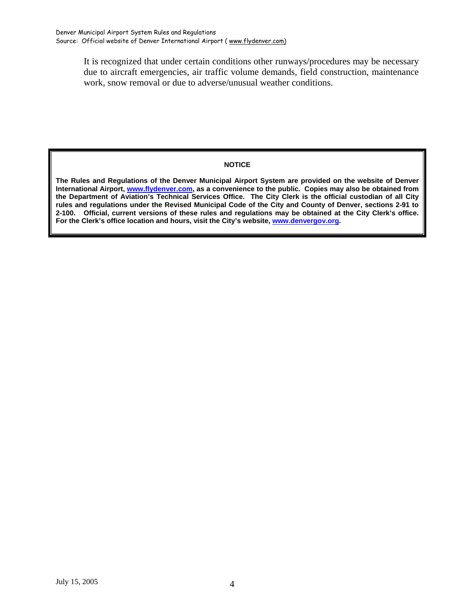It is recognized that under certain conditions other runways/procedures may be necessary due to aircraft emergencies, air traffic volume demands, field construction, maintenance work, snow removal or due to adverse/unusual weather conditions.

#### **NOTICE**

**The Rules and Regulations of the Denver Municipal Airport System are provided on the website of Denver International Airport, [www.flydenver.com](http://www.flydenver.com/), as a convenience to the public. Copies may also be obtained from the Department of Aviation's Technical Services Office. The City Clerk is the official custodian of all City rules and regulations under the Revised Municipal Code of the City and County of Denver, sections 2-91 to 2-100. Official, current versions of these rules and regulations may be obtained at the City Clerk's office. For the Clerk's office location and hours, visit the City's website, [www.denvergov.org](http://www.denvergov.org/).**